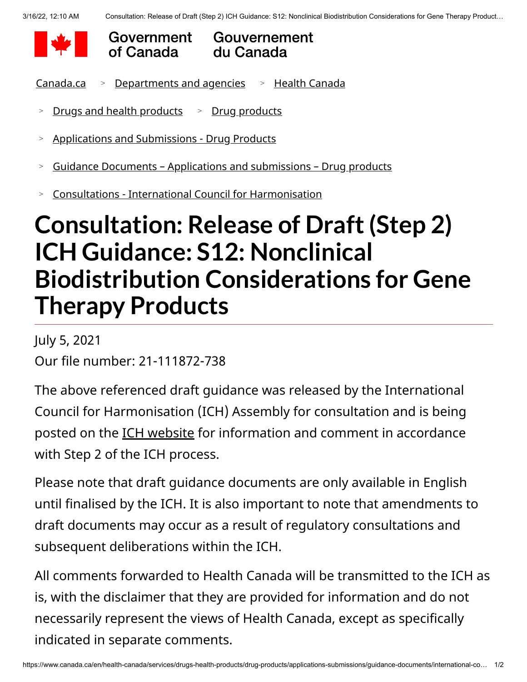



## Gouvernement du Canada

<u>[Canada.ca](https://www.canada.ca/en.html) > [Departments and agencies](https://www.canada.ca/en/government/dept.html) -> [Health Canada](https://www.canada.ca/en/health-canada.html)</u>

- [Drugs and health products](https://www.canada.ca/en/health-canada/services/drugs-health-products.html) [Drug products](https://www.canada.ca/en/health-canada/services/drugs-health-products/drug-products.html) > >
- [Applications and Submissions Drug Products](https://www.canada.ca/en/health-canada/services/drugs-health-products/drug-products/applications-submissions.html) >
- [Guidance Documents Applications and submissions Drug products](https://www.canada.ca/en/health-canada/services/drugs-health-products/drug-products/applications-submissions/guidance-documents.html)  $>$
- [Consultations International Council for Harmonisation](https://www.canada.ca/en/health-canada/services/drugs-health-products/drug-products/applications-submissions/guidance-documents/international-conference-harmonisation/consultations.html) >

## **Consultation: Release of Draft(Step 2) ICH Guidance: S12: Nonclinical Biodistribution Considerations for Gene Therapy Products**

July 5, 2021 Our file number: 21-111872-738

The above referenced draft guidance was released by the International Council for Harmonisation (ICH) Assembly for consultation and is being posted on the **ICH website** for information and comment in accordance with Step 2 of the ICH process.

Please note that draft guidance documents are only available in English until finalised by the ICH. It is also important to note that amendments to draft documents may occur as a result of regulatory consultations and subsequent deliberations within the ICH.

All comments forwarded to Health Canada will be transmitted to the ICH as is, with the disclaimer that they are provided for information and do not necessarily represent the views of Health Canada, except as specifically indicated in separate comments.